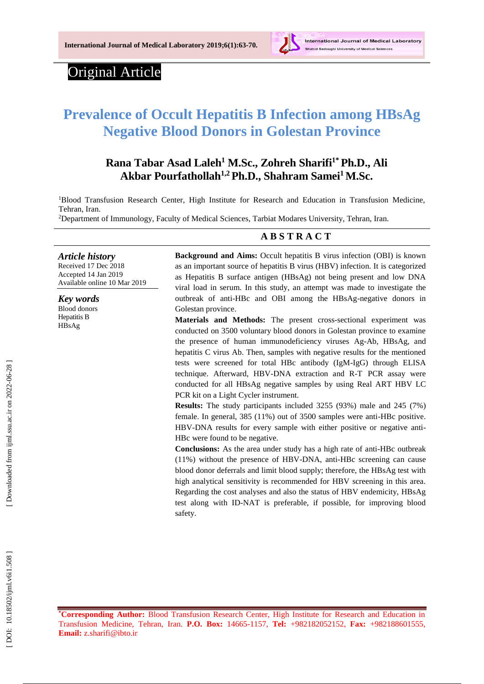

# Original Article

# **Prevalence of Occult Hepatitis B Infection among HBsAg Negative Blood Donors in Golestan Province**

# **Rana Tabar Asad Laleh 1 M . Sc., Zohreh Sharifi 1 \*Ph.D . , Ali Akbar Pourfathollah1,2 Ph.D., Shahram Samei <sup>1</sup>M.Sc.**

<sup>1</sup>Blood Transfusion Research Center, High Institute for Research and Education in Transfusion Medicine, Tehran, Iran .

<sup>2</sup>Department of Immunology, Faculty of Medical Sciences, Tarbiat Modares University, Tehran, Iran.

### **A B S T R A C T**

*Article history* Received 17 Dec 201 8 Accepted 1 4 Jan 201 9 Available online 10 Mar 201 9

*Key words* Blood donors Hepatitis B HBsAg

**Background and Aims :** Occult hepatitis B virus infection (OBI) is known as a n important source of hepatitis B virus (HBV ) infection. It is categorized as Hepatitis B surface antigen (HBsAg) not being present and low DNA viral load in serum. In this study, an attempt was made to investigate the outbreak of anti -HBc and OBI among the HBsAg -negative donors in Golestan province .

**Material s and Methods:** The present cross -sectional experiment was conducted on 3500 voluntary blood donors in Golestan province to examine the presence of human immunodeficiency viruses Ag -Ab, HBsAg, and hepatitis C virus Ab. Then, samples with negative results for the mentioned tests were screened for total HBc antibody (IgM -IgG) through ELISA technique. Afterward, HBV-DNA extraction and R-T PCR assay were conducted for all HBsAg negative samples by using Real ART HBV LC PCR kit on a Light Cycler instrument.

**Results:** The study participants include d 3255 (93%) male and 245 (7%) female. In general, 385 (11%) out of 3500 samples were anti -HBc positive. HBV-DNA results for every sample with either positive or negative anti-HBc were found to be negative.

**Conclusions:** As the area under study has a high rate of anti-HBc outbreak (11%) without the presence of HBV -DNA, anti -HBc screening can cause blood donor deferrals and limit blood supply; therefore, the HBsAg test with high analytical sensitivity is recommended for HBV screening in this area. Regarding the cost analyses and also the status of HBV endemicity, HBsAg test along with ID *-*NAT is preferable, if possible, for improving blood safety.

**\*Corresponding Author:** Blood Transfusion Research Center, High Institute for Research and Education in Transfusion Medicine, Tehran, Iran. **P.O. Box:** 14665 -1157, **Tel:** +98 2 182052152, **Fax:** +98 2 188601555, **Email:** [z.sharifi@ibto.ir](mailto:z.sharifi@ibto.ir)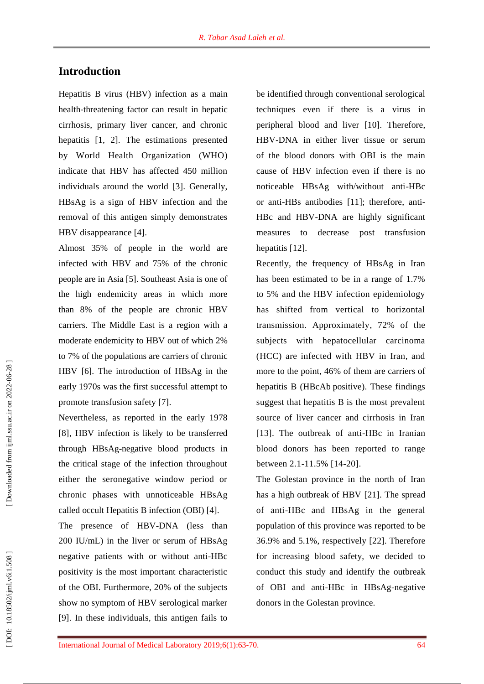## **Introduction**

Hepatitis B virus (HBV) infection as a main health *-*threatening factor can result in hepatic cirrhosis, primary liver cancer, and chronic hepatitis [1, 2]. The estimations presented by World Health Organization (WHO) indicate that HBV has affected 450 million individuals around the world [3]. Generally, HBsAg is a sign of HBV infection and the removal of this antigen simply demonstrates HBV disappearance [4] .

Almost 35% of people in the world are infected with HBV and 75% of the chronic people are in Asia [5]. Southeast Asia is one of the high endemicity areas in which more than 8% of the people are chronic HBV carriers. The Middle East is a region with a moderate endemicity to HBV out of which 2% to 7% of the populations are carriers of chronic HBV [6]. The introduction of HBsAg in the early 1970s was the first successful attempt to promote transfusion safety [7].

Nevertheless, as reported in the early 1978 [8], HBV infection is likely to be transferred through HBsAg -negative blood products in the critical stage of the infection throughout either the seronegative window period or chronic phases with unnoticeable HBsAg called occult Hepatitis B infection (OBI) [4] .

The presence of HBV-DNA (less than 200 IU/mL) in the liver or serum of HBsAg negative patients with or without anti -HBc positivity is the most important characteristic of the OBI. Furthermore, 20% of the subjects show no symptom of HBV serological marker [9]. In these individuals, this antigen fails to

be identified through conventional serological techniques even if there is a virus in peripheral blood and liver [10]. Therefore, HBV -DNA in either liver tissue or serum of the blood donors with OBI is the main cause of HBV infection even if there is no noticeable HBsAg with/without anti -HBc or anti-HBs antibodies [11]; therefore, anti-HBc and HBV -DNA are highly significant measures to decrease post transfusion hepatitis [12].

Recently, the frequency of HBsAg in Iran has been estimated to be in a range of 1.7% to 5% and the HBV infection epidemiology has shifted from vertical to horizontal transmission. Approximately , 72% of the subjects with hepatocellular carcinoma (HCC) are infected with HBV in Iran, and more to the point, 46% of them are carriers of hepatitis B (HBcAb positive). These findings suggest that hepatitis B is the most prevalent source of liver cancer and cirrhosis in Iran [13]. The outbreak of anti -HBc in Iranian blood donors has been reported to range between 2.1 -11.5% [14 -20].

The Golestan province in the north of Iran has a high outbreak of HBV [21]. The spread of anti -HBc and HBsAg in the general population of this province was reported to be 36.9% and 5.1%, respectively [22]. Therefore for increasing blood safety, we decided to conduct this study and identify the outbreak of OBI and anti -HBc in HBsAg -negative donors in the Golestan province.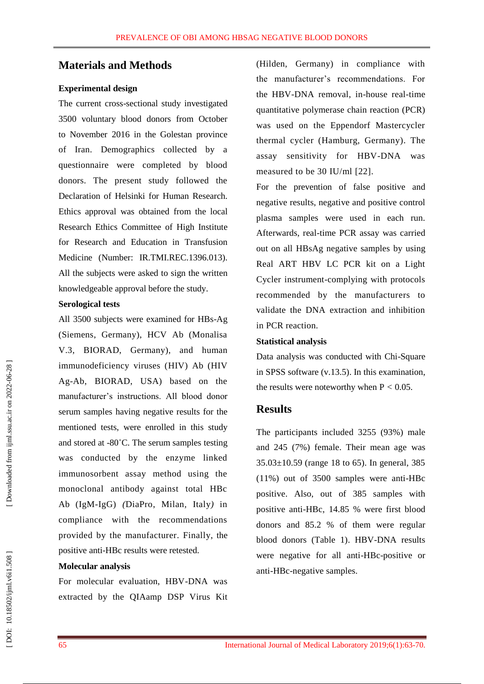## **Materials and Methods**

#### **Experimental design**

The current cross -sectional study investigated 3500 voluntary blood donors from October to November 2016 in the Golestan province of Iran. Demographics collected by a questionnaire were completed by blood donors. The present study followed the Declaration of Helsinki for Human Research. Ethics approval was obtained from the local Research Ethics Committee of High Institute for Research and Education in Transfusion Medicine (Number: IR.TMI.REC.1396.013). All the subjects were asked to sign the written knowledgeable approval before the study.

#### **Serological tests**

All 3500 subjects were examined for HBs -Ag (Siemens, Germany), HCV Ab (Monalisa V.3, BIORAD, Germany), and human immunodeficiency viruses (HIV ) Ab (HIV Ag -Ab, BIORAD, USA) based on the manufacturer's instructions. All blood donor serum samples having negative results for the mentioned tests, were enrolled in this study and stored at -80°C. The serum samples testing was conducted by the enzyme linked immunosorbent assay method using the monoclonal antibody against total HBc Ab (IgM -IgG) *(*DiaPro, Milan*,* Italy *)* in compliance with the recommendations provided by the manufacturer. Finally , the positive anti -HBc results were retested.

#### **Molecular analysis**

For molecular evaluation, HBV -DNA was extracted by the QIAamp DSP Virus Kit

(Hilden, Germany) in compliance with the manufacturer's recommendations. For the HBV -DNA removal, in -house real *-*time quantitative polymerase chain reaction (PCR) was used on the Eppendorf Mastercycler thermal cycler (Hamburg, Germany). The assay sensitivity for HBV -DNA was measured to be 30 IU/ml [22].

For the prevention of false positive and negative results, negative and positive control plasma samples were used in each run. Afterwards, real *-*time PCR assay was carried out on all HBsAg negative samples by using Real ART HBV LC PCR kit on a Light Cycler instrument -complying with protocols recommended by the manufacturers to validate the DNA extraction and inhibition in PCR reaction.

#### **Statistical analysi s**

Data analysis was conducted with Chi -Square in SPSS software (v.13.5). In this examination, the results were noteworthy when  $P < 0.05$ .

## **Results**

The participants include d 3255 (93%) male and 245 (7%) female. Their mean age was 35.03±10.59 (range 18 to 65). In general, 385 (11%) out of 3500 samples were anti -HBc positive. Also, out of 385 samples with positive anti -HBc, 14.85 % were first blood donors and 85.2 % of them were regular blood donors (Table 1). HBV -DNA results were negative for all anti -HBc -positive or anti -HBc -negative samples .

DOI: 10.18502/ijml.v6i1.508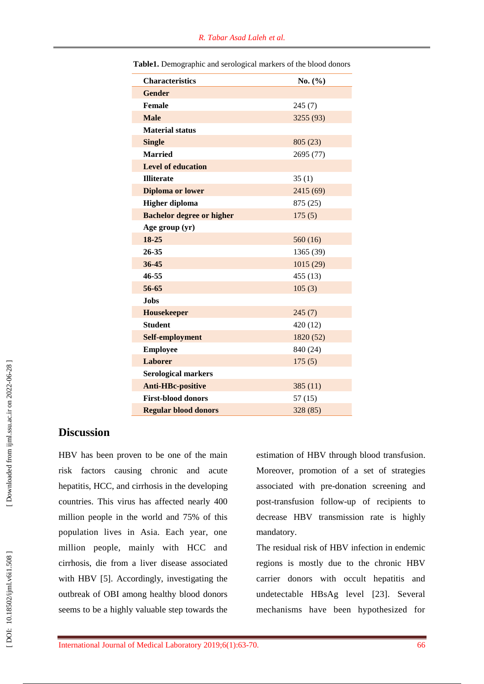| <b>Characteristics</b>           | No. (%)   |
|----------------------------------|-----------|
| <b>Gender</b>                    |           |
| Female                           | 245(7)    |
| <b>Male</b>                      | 3255 (93) |
| <b>Material status</b>           |           |
| <b>Single</b>                    | 805(23)   |
| <b>Married</b>                   | 2695 (77) |
| <b>Level of education</b>        |           |
| <b>Illiterate</b>                | 35(1)     |
| <b>Diploma</b> or lower          | 2415 (69) |
| <b>Higher diploma</b>            | 875 (25)  |
| <b>Bachelor degree or higher</b> | 175(5)    |
| Age group (yr)                   |           |
| 18-25                            | 560(16)   |
| 26-35                            | 1365 (39) |
| 36-45                            | 1015(29)  |
| 46-55                            | 455 (13)  |
| 56-65                            | 105(3)    |
| <b>Jobs</b>                      |           |
| <b>Housekeeper</b>               | 245(7)    |
| <b>Student</b>                   | 420 (12)  |
| Self-employment                  | 1820 (52) |
| <b>Employee</b>                  | 840 (24)  |
| Laborer                          | 175(5)    |
| <b>Serological markers</b>       |           |
| <b>Anti-HBc-positive</b>         | 385(11)   |
| <b>First-blood donors</b>        | 57(15)    |
| <b>Regular blood donors</b>      | 328 (85)  |

**Table1.** Demographic and serological markers of the blood donors

## **Discussion**

HBV has been proven to be one of the main risk factors causing chronic and acute hepatitis, HCC, and cirrhosis in the developing countries. This virus has affected nearly 400 million people in the world and 75% of this population lives in Asia. Each year, one million people, mainly with HCC and cirrhosis, die from a liver disease associated with HBV [5]. Accordingly, investigating the outbreak of OBI among healthy blood donors seems to be a highly valuable step towards the

estimation of HBV through blood transfusion . Moreover, promotion of a set of strategies associated with pre -donation screening and post -transfusion follow -up of recipients to decrease HBV transmission rate is highly mandatory.

The residual risk of HBV infection in endemic regions is mostly due to the chronic HBV carrier donors with occult hepatitis and undetectable HBsAg level [23] . Several mechanisms have been hypothesized for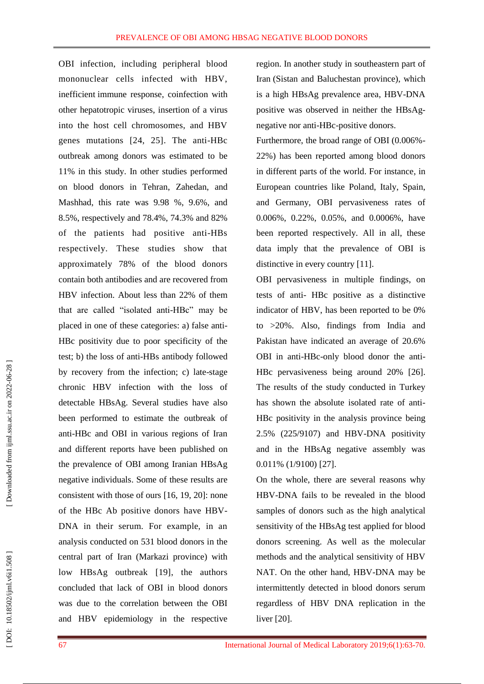OBI infection, including peripheral blood mononuclear cells infected with HBV , inefficient immune response, coinfection with other hepatotropic viruses, insertion of a virus into the host cell chromosomes, and HBV genes mutations [24, 25]. The anti -HBc outbreak among donors was estimated to be 11% in this study. In other studies performed on blood donors in Tehran, Zahedan, and Mashhad, this rate was 9.98 %, 9.6%, and 8.5%, respectively and 78.4%, 74.3% and 82% of the patients had positive anti -HBs respectively. These studies show that approximately 78% of the blood donors contain both antibodies and are recovered from HBV infection. About less than 22% of them that are called "isolated anti -HBc" may be placed in one of these categories: a ) false anti - HBc positivity due to poor specificity of the test; b ) the loss of anti -HBs antibody followed by recovery from the infection; c) late-stage chronic HBV infection with the loss of detectable HBsAg. Several studies have also been performed to estimate the outbreak of anti -HBc and OBI in various regions of Iran and different reports have been published on the prevalence of OBI among Iranian HBsAg negative individuals. Some of these results are consistent with those of ours [16, 19, 20 ] : none of the HBc Ab positive donors have HBV - DNA in their serum. For example, in an analysis conducted on 531 blood donors in the central part of Iran (Markazi province) with low HBsAg outbreak [19], the authors concluded that lack of OBI in blood donors was due to the correlation between the OBI and HBV epidemiology in the respective

region. In another study in southeastern part of Iran (Sistan and Baluchestan province), which is a high HBsAg prevalence area , HBV -DNA positive was observed in neither the HBsAg negative nor anti -HBc -positive donors .

Furthermore, the broad range of OBI (0.006% - 22%) has been reported among blood donors in different parts of the world. For instance , in European countries like Poland, Italy, Spain, and Germany, OBI pervasiveness rates of 0.006%, 0.22%, 0.05%, and 0.0006%, have been reported respectively. All in all, these data imply that the prevalence of OBI is distinctive in every country [11].

OBI pervasiveness in multiple findings, on tests of anti - HBc positive as a distinctive indicator of HBV, has been reported to be 0% to >20%. Also, findings from India and Pakistan have indicated an average of 20.6% OBI in anti-HBc-only blood donor the anti-HBc pervasiveness being around 20% [26]. The results of the study conducted in Turkey has shown the absolute isolated rate of anti - HBc positivity in the analysis province being 2.5% (225/9107) and HBV -DNA positivity and in the HBsAg negative assembly was 0.011% (1/9100) [27].

On the whole, there are several reasons why HBV -DNA fails to be revealed in the blood samples of donors such as the high analytical sensitivity of the HBsAg test applied for blood donors screening. As well as the molecular methods and the analytical sensitivity of HBV NAT. On the other hand, HBV -DNA may be intermittently detected in blood donors serum regardless of HBV DNA replication in the liver [20].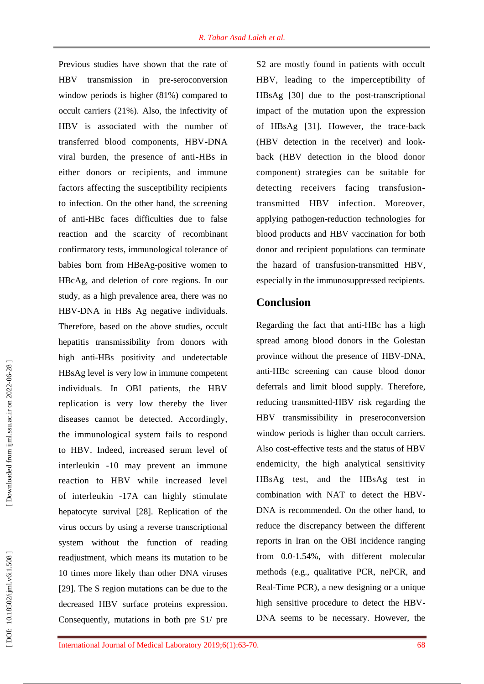Previous studies have shown that the rate of HBV transmission in pre -seroconversion window periods is higher (81%) compared to occult carriers (21%). Also, the infectivity of HBV is associated with the number of transferred blood components, HBV -DNA viral burden, the presence of anti -HBs in either donors or recipients, and immune factors affecting the susceptibility recipients to infection. On the other hand, the screening of anti -HBc faces difficulties due to false reaction and the scarcity of recombinant confirmatory tests, immunological tolerance of babies born from HBeAg -positive women to HBcAg, and deletion of core regions. In our study, as a high prevalence area, there was no HBV -DNA in HBs Ag negative individuals. Therefore, based on the above studies, occult hepatitis *t*ransmissibilit*y* from donors with high anti -HBs positivity and undetectable HBsAg level is very low in immune competent individuals. In OBI patients, the HBV replication is very low thereby the liver diseases cannot be detected. Accordingly, the immunological system fails to respond to HBV. Indeed, increased serum level of interleukin *-*10 may prevent an immune reaction to HBV while increased level of interleukin *-*17A can highly stimulate hepatocyte survival [2 8 ]. Replication of the virus occurs by using a reverse transcriptional system without the function of reading readjustment, which means its mutation to be 10 times more likely than other DNA viruses [2 9]. The S region mutations can be due to the decreased HBV surface proteins expression. Consequently, mutations in both pre S1/ pre

S2 are mostly found in patients with occult HBV, leading to the imperceptibility of HBsAg [30 ] due to the post -transcriptional impact of the mutation upon the expression of HBsAg [31 ]. However, the trace -back (HBV detection in the receiver) and look back (HBV detection in the blood donor component) strategies can be suitable for detecting receivers facing transfusion transmitted HBV infection. Moreover, applying pathogen -reduction technologies for blood products and HBV vaccination for both donor and recipient populations can terminate the hazard of transfusion *-*transmitted HBV, especially in the immunosuppressed recipients.

# **Conclusion**

Regarding the fact that anti -HBc has a high spread among blood donors in the Golestan province without the presence of HBV -DNA, anti -HBc screening can cause blood donor deferrals and limit blood supply . Therefore, reducing transmitted -HBV risk regarding the HBV transmissibility in preseroconversion window periods is higher than occult carriers. Also cost -effective tests and the status of HBV endemicity, the high analytical sensitivity HBsAg test, and the HBsAg test in combination with NAT to detect the HBV - DNA is recommended. On the other hand, to reduce the discrepancy between the different reports in Iran on the OBI incidence ranging from 0.0 -1.54%, with different molecular methods (e.g., qualitative PCR, nePCR, and Real -Time PCR), a new designing or a unique high sensitive procedure to detect the HBV - DNA seems to be necessary. However, the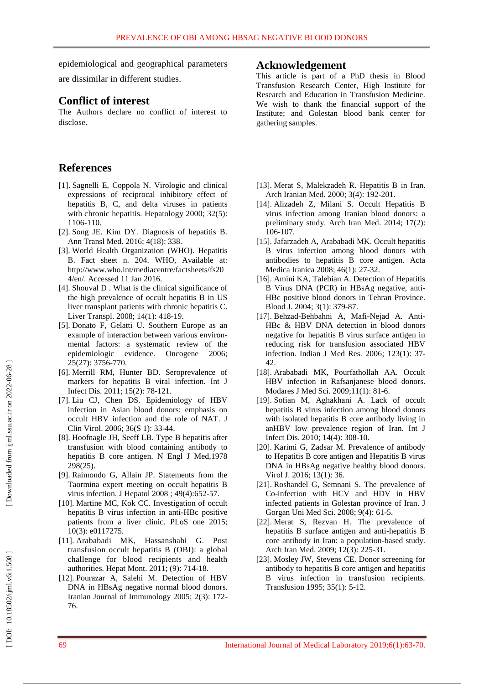epidemiological and geographical parameters

are dissimilar in different studies.

## **Conflict of interest**

The Authors declare no conflict of interest to disclose .

# **References**

- [1]. Sagnelli E, Coppola N. Virologic and clinical expressions of reciprocal inhibitory effect of hepatitis B, C, and delta viruses in patients with chronic hepatitis. Hepatology 2000; 32(5): 1106-110.
- [ 2]. Song JE. Kim DY. Diagnosis of hepatitis B. Ann Transl Med . 2016; 4(18): 338.
- [ 3]. World Health Organization (WHO). Hepatitis B. Fact sheet n. 204. WHO, Available at: http://www.who.int/mediacentre/factsheets/fs20 4/en/. Accessed 11 Jan 2016.
- [ 4]. Shouval D . What is the clinical significance of the high prevalence of occult hepatitis B in US liver transplant patients with chronic hepatitis C. Liver Transpl. 2008; 14(1): 418-19.
- [ 5]. Donato F, Gelatti U. Southern Europe as an example of interaction between various environ mental factors: a systematic review of the epidemiologic evidence. Oncogene 2006; 25(27): 3756 - 7 70.
- [ 6]. Merrill RM, Hunter BD. Seroprevalence of markers for hepatitis B viral infection. Int J Infect Dis . 2011; 15(2): 78 -121.
- [ 7]. Liu CJ, Chen DS. Epidemiology of HBV infection in Asian blood donors: emphasis on occult HBV infection and the role of NAT. J Clin Virol. 2006; 36(S 1) : 33 -44.
- [ 8]. Hoofnagle JH, Seeff LB. Type B hepatitis after transfusion with blood containing antibody to hepatitis B core antigen. N Engl J Med,1978 298(25).
- [ 9]. Raimondo G, Allain JP. Statements from the Taormina expert meeting on occult hepatitis B virus infection. J Hepatol 2008 ; 49(4):652 -57.
- [10]. Martine MC, Kok CC. Investigation of occult hepatitis B virus infection in anti -HBc positive patients from a liver clinic. PLoS one 2015; 10(3): e0117275.
- [11]. Arababadi MK, Hassanshahi G. Post transfusion occult hepatitis B (OBI): a global challenge for blood recipients and health authorities. Hepat Mont. 2011; (9): 714 -18.
- [12]. Pourazar A, Salehi M. Detection of HBV DNA in HBsAg negative normal blood donors. Iranian Journal of Immunology 2005; 2(3): 172 - 76.

## **Acknowledgement**

This article is part of a PhD thesis in Blood Transfusion Research Center, High Institute for Research and Education in Transfusion Medicine. We wish to thank the financial support of the Institute; and Golestan blood bank center for gathering samples.

- [13]. Merat S, Malekzadeh R. Hepatitis B in Iran. Arch Iranian Med. 2000; 3(4): 192 -201.
- [14]. Alizadeh Z, Milani S. Occult Hepatitis B virus infection among Iranian blood donors: a preliminary study. Arch Iran Med . 2014; 17(2): 106 -107.
- [15]. Jafarzadeh A, Arababadi MK. Occult hepatitis B virus infection among blood donors with antibodies to hepatitis B core antigen. Acta Medica Iranica 2008; 46(1): 27-32.
- [16]. Amini KA, Talebian A. Detection of Hepatitis B Virus DNA (PCR) in HBsAg negative, anti - HBc positive blood donors in Tehran Province. Blood J. 2004; 3(1) : 379 -87 .
- [17]. Behzad-Behbahni A, Mafi-Nejad A. Anti-HBc & HBV DNA detection in blood donors negative for hepatitis B virus surface antigen in reducing risk for transfusion associated HBV infection. Indian J Med Res. 2006; 123(1): 37-42 .
- [18]. Arababadi MK, Pourfathollah AA. Occult HBV infection in Rafsanjanese blood donors. Modares J Med Sci. 2009;11(1): 81-6.
- [19]. Sofian M, Aghakhani A. Lack of occult hepatitis B virus infection among blood donors with isolated hepatitis B core antibody living in anHBV low prevalence region of Iran. Int J Infect Dis. 2010; 14(4): 308-10.
- [20]. Karimi G, Zadsar M. Prevalence of antibody to Hepatitis B core antigen and Hepatitis B virus DNA in HBsAg negative healthy blood donors. Virol J. 2016; 13(1): 36.
- [21]. Roshandel G, Semnani S. The prevalence of Co -infection with HCV and HDV in HBV infected patients in Golestan province of Iran. J Gorgan Uni Med Sci. 2008; 9(4) : 61 -5.
- [22]. Merat S, Rezvan H. The prevalence of hepatitis B surface antigen and anti -hepatitis B core antibody in Iran: a population -based study. Arch Iran Med . 2009; 12(3): 225 -31.
- [23]. Mosley JW, Stevens CE. Donor screening for antibody to hepatitis B core antigen and hepatitis B virus infection in transfusion recipients. Transfusion 1995; 35(1): 5 -12.

[Downloaded from ijml.ssu.ac.ir on 2022-06-28]